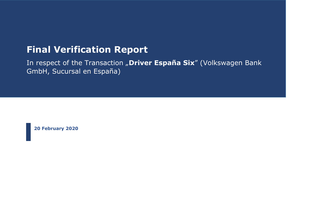# **Final Verification Report**

In respect of the Transaction "Driver España Six" (Volkswagen Bank GmbH, Sucursal en España)

**20 February 2020**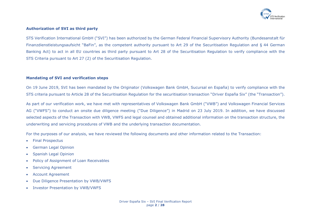

## **Authorization of SVI as third party**

STS Verification International GmbH ("SVI") has been authorized by the German Federal Financial Supervisory Authority (Bundesanstalt für Finanzdienstleistungsaufsicht "BaFin", as the competent authority pursuant to Art 29 of the Securitisation Regulation and § 44 German Banking Act) to act in all EU countries as third party pursuant to Art 28 of the Securitisation Regulation to verify compliance with the STS Criteria pursuant to Art 27 (2) of the Securitisation Regulation.

### **Mandating of SVI and verification steps**

On 19 June 2019, SVI has been mandated by the Originator (Volkswagen Bank GmbH, Sucursal en España) to verify compliance with the STS criteria pursuant to Article 28 of the Securitisation Regulation for the securitisation transaction "Driver España Six" (the "Transaction").

As part of our verification work, we have met with representatives of Volkswagen Bank GmbH ("VWB") and Volkswagen Financial Services AG ("VWFS") to conduct an onsite due diligence meeting ("Due Diligence") in Madrid on 23 July 2019. In addition, we have discussed selected aspects of the Transaction with VWB, VWFS and legal counsel and obtained additional information on the transaction structure, the underwriting and servicing procedures of VWB and the underlying transaction documentation.

For the purposes of our analysis, we have reviewed the following documents and other information related to the Transaction:

- Final Prospectus
- German Legal Opinion
- Spanish Legal Opinion
- Policy of Assignment of Loan Receivables
- Servicing Agreement
- Account Agreement
- Due Diligence Presentation by VWB/VWFS
- Investor Presentation by VWB/VWFS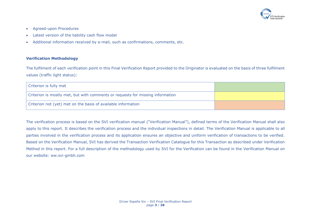

- Agreed-upon Procedures
- Latest version of the liability cash flow model
- Additional information received by e-mail, such as confirmations, comments, etc.

## **Verification Methodology**

The fulfilment of each verification point in this Final Verification Report provided to the Originator is evaluated on the basis of three fulfilment values (traffic light status):

| Criterion is fully met                                                         |  |
|--------------------------------------------------------------------------------|--|
| Criterion is mostly met, but with comments or requests for missing information |  |
| Criterion not (yet) met on the basis of available information                  |  |

The verification process is based on the SVI verification manual ("Verification Manual"), defined terms of the Verification Manual shall also apply to this report. It describes the verification process and the individual inspections in detail. The Verification Manual is applicable to all parties involved in the verification process and its application ensures an objective and uniform verification of transactions to be verified. Based on the Verification Manual, SVI has derived the Transaction Verification Catalogue for this Transaction as described under Verification Method in this report. For a full description of the methodology used by SVI for the Verification can be found in the Verification Manual on our website: ww.svi-gmbh.com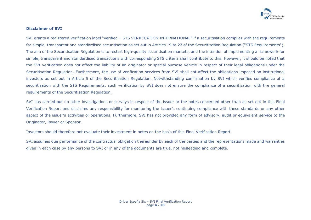

## **Disclaimer of SVI**

SVI grants a registered verification label "verified – STS VERIFICATION INTERNATIONAL" if a securitisation complies with the requirements for simple, transparent and standardised securitisation as set out in Articles 19 to 22 of the Securitisation Regulation ("STS Requirements"). The aim of the Securitisation Regulation is to restart high-quality securitisation markets, and the intention of implementing a framework for simple, transparent and standardised transactions with corresponding STS criteria shall contribute to this. However, it should be noted that the SVI verification does not affect the liability of an originator or special purpose vehicle in respect of their legal obligations under the Securitisation Regulation. Furthermore, the use of verification services from SVI shall not affect the obligations imposed on institutional investors as set out in Article 5 of the Securitisation Regulation. Notwithstanding confirmation by SVI which verifies compliance of a securitisation with the STS Requirements, such verification by SVI does not ensure the compliance of a securitisation with the general requirements of the Securitisation Regulation.

SVI has carried out no other investigations or surveys in respect of the issuer or the notes concerned other than as set out in this Final Verification Report and disclaims any responsibility for monitoring the issuer's continuing compliance with these standards or any other aspect of the issuer's activities or operations. Furthermore, SVI has not provided any form of advisory, audit or equivalent service to the Originator, Issuer or Sponsor.

Investors should therefore not evaluate their investment in notes on the basis of this Final Verification Report.

SVI assumes due performance of the contractual obligation thereunder by each of the parties and the representations made and warranties given in each case by any persons to SVI or in any of the documents are true, not misleading and complete.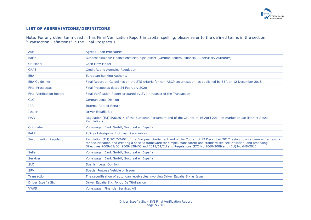

## **LIST OF ABBREVIATIONS/DEFINITIONS**

Note: For any other term used in this Final Verification Report in capital spelling, please refer to the defined terms in the section "Transaction Definitions" in the Final Prospectus.

| AuP                              | Agreed-upon Procedures                                                                                                                                                                                                                                                                                                                                                |
|----------------------------------|-----------------------------------------------------------------------------------------------------------------------------------------------------------------------------------------------------------------------------------------------------------------------------------------------------------------------------------------------------------------------|
| <b>BaFin</b>                     | Bundesanstalt für Finanzdienstleistungsaufsicht (German Federal Financial Supervisory Authority)                                                                                                                                                                                                                                                                      |
| CF-Model                         | Cash Flow-Model                                                                                                                                                                                                                                                                                                                                                       |
| CRA3                             | <b>Credit Rating Agencies Regulation</b>                                                                                                                                                                                                                                                                                                                              |
| <b>EBA</b>                       | <b>European Banking Authority</b>                                                                                                                                                                                                                                                                                                                                     |
| <b>EBA Guidelines</b>            | Final Report on Guidelines on the STS criteria for non-ABCP securitisation, as published by EBA on 12 December 2018                                                                                                                                                                                                                                                   |
| <b>Final Prospectus</b>          | Final Prospectus dated 24 February 2020                                                                                                                                                                                                                                                                                                                               |
| <b>Final Verification Report</b> | Final Verification Report prepared by SVI in respect of the Transaction                                                                                                                                                                                                                                                                                               |
| <b>GLO</b>                       | German Legal Opinion                                                                                                                                                                                                                                                                                                                                                  |
| <b>IRR</b>                       | <b>Internal Rate of Return</b>                                                                                                                                                                                                                                                                                                                                        |
| <b>Issuer</b>                    | Driver España Six                                                                                                                                                                                                                                                                                                                                                     |
| <b>MAR</b>                       | Regulation (EU) 596/2014 of the European Parliament and of the Council of 16 April 2014 on market abuse (Market Abuse<br>Regulation)                                                                                                                                                                                                                                  |
| Originator                       | Volkswagen Bank GmbH, Sucursal en España                                                                                                                                                                                                                                                                                                                              |
| <b>PALR</b>                      | Policy of Assignment of Loan Receivables                                                                                                                                                                                                                                                                                                                              |
| <b>Securitisation Requlation</b> | Regulation (EU) 2017/2402 of the European Parliament and of the Council of 12 December 2017 laying down a general framework<br>for securitisation and creating a specific framework for simple, transparent and standardised securitisation, and amending<br>Directives 2009/65/EC, 2009/138/EC and 2011/61/EU and Regulations (EC) No 1060/2009 and (EU) No 648/2012 |
| Seller                           | Volkswagen Bank GmbH, Sucursal en España                                                                                                                                                                                                                                                                                                                              |
| Servicer                         | Volkswagen Bank GmbH, Sucursal en España                                                                                                                                                                                                                                                                                                                              |
| <b>SLO</b>                       | Spanish Legal Opinion                                                                                                                                                                                                                                                                                                                                                 |
| <b>SPV</b>                       | Special Purpose Vehicle or Issuer                                                                                                                                                                                                                                                                                                                                     |
| Transaction                      | The securitisation of auto loan receivables involving Driver España Six as Issuer                                                                                                                                                                                                                                                                                     |
| Driver España Six                | Driver España Six, Fondo De Titulizacion                                                                                                                                                                                                                                                                                                                              |
| <b>VWFS</b>                      | <b>Volkswagen Financial Services AG</b>                                                                                                                                                                                                                                                                                                                               |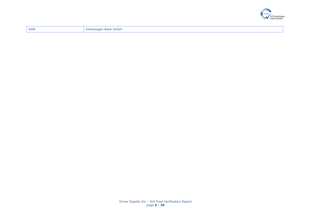

| <b>VWB</b> | ' Volkswagen Bank GmbH |
|------------|------------------------|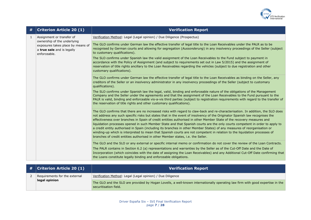

| #            | <b>Criterion Article 20 (1)</b>                                                                                | <b>Verification Report</b>                                                                                                                                                                                                                                                                                                                                                                                                                                                                                                                                                                                                                                                                                                                                                                                                                                         |
|--------------|----------------------------------------------------------------------------------------------------------------|--------------------------------------------------------------------------------------------------------------------------------------------------------------------------------------------------------------------------------------------------------------------------------------------------------------------------------------------------------------------------------------------------------------------------------------------------------------------------------------------------------------------------------------------------------------------------------------------------------------------------------------------------------------------------------------------------------------------------------------------------------------------------------------------------------------------------------------------------------------------|
| $\mathbf{1}$ | Assignment or transfer of                                                                                      | Verification Method: Legal (Legal opinion) / Due Diligence (Prospectus)                                                                                                                                                                                                                                                                                                                                                                                                                                                                                                                                                                                                                                                                                                                                                                                            |
|              | ownership of the underlying<br>exposures takes place by means of<br>a true sale and is legally<br>enforceable. | The GLO confirms under German law the effective transfer of legal title to the Loan Receivables under the PALR as to be<br>recognised by German courts and allowing for segregation (Aussonderung) in any insolvency proceedings of the Seller (subject<br>to customary qualifications).                                                                                                                                                                                                                                                                                                                                                                                                                                                                                                                                                                           |
|              |                                                                                                                | The SLO confirms under Spanish law the valid assignment of the Loan Receivables to the Fund subject to payment in<br>accordance with the Policy of Assignment (and subject to requirements set out in Law 5/2015) and the assignment of<br>reservation of title rights ancillary to the Loan Receivables regarding the vehicles (subject to due registration and other<br>customary qualifications).                                                                                                                                                                                                                                                                                                                                                                                                                                                               |
|              |                                                                                                                | The GLO confirms under German law the effective transfer of legal title to the Loan Receivables as binding on the Seller, any<br>creditors of the Seller or an insolvency administrator in any insolvency proceedings of the Seller (subject to customary<br>qualifications).                                                                                                                                                                                                                                                                                                                                                                                                                                                                                                                                                                                      |
|              |                                                                                                                | The SLO confirms under Spanish law the legal, valid, binding and enforceable nature of the obligations of the Management<br>Company and the Seller under the agreements and that the assignment of the Loan Receivables to the Fund pursuant to the<br>PALR is valid, binding and enforceable vis-a-vis third parties (subject to registration requirements with regard to the transfer of<br>the reservation of title rights and other customary qualifications).                                                                                                                                                                                                                                                                                                                                                                                                 |
|              |                                                                                                                | The GLO confirms that there are no increased risks with regard to claw-back and re-characterisation. In addition, the SLO does<br>not address any such specific risks but states that in the event of insolvency of the Originator Spanish law recognises the<br>effectiveness over branches in Spain of credit entities authorised in other Member State of the recovery measures and<br>liquidation processes opened in such Member State and that Spanish courts are the only courts competent in order to apply to<br>a credit entity authorised in Spain (including its branches in other Member States) of any measures of reorganisation or<br>winding-up which is interpreted to mean that Spanish courts are not competent in relation to the liquidation processes of<br>branches of credit entities authorised in other Member states, i.e. the Seller. |
|              |                                                                                                                | The GLO and the SLO or any external or specific internal memo or confirmation do not cover the review of the Loan Contracts.<br>The PALR contains in Section 6.2 (a) representations and warranties by the Seller as of the Cut-Off Date and the Date of<br>Incorporation (which coincides with the date of assigning the Loan Receivables) and any Additional Cut-Off Date confirming that<br>the Loans constitute legally binding and enforceable obligations.                                                                                                                                                                                                                                                                                                                                                                                                   |

| $\#$   Criterion Article 20 (1) | <b>Verification Report</b>                                                                                                                             |
|---------------------------------|--------------------------------------------------------------------------------------------------------------------------------------------------------|
| Requirements for the external   | Verification Method: Legal (Legal opinion) / Due Diligence                                                                                             |
| legal opinion                   | The GLO and the SLO are provided by Hogan Lovells, a well-known internationally operating law firm with good expertise in the<br>securitisation field. |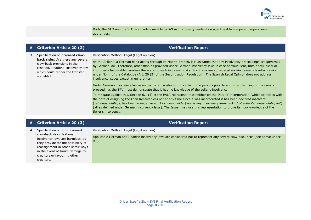

|  | Both, the GLO and the SLO are made available to SVI as third-party verification agent and to competent supervisory |
|--|--------------------------------------------------------------------------------------------------------------------|
|  | authorities.                                                                                                       |

| # | <b>Criterion Article 20 (2)</b>                                                                                                                                                           | <b>Verification Report</b>                                                                                                                                                                                                                                                                                                                                                                                                                                                                                                                                     |
|---|-------------------------------------------------------------------------------------------------------------------------------------------------------------------------------------------|----------------------------------------------------------------------------------------------------------------------------------------------------------------------------------------------------------------------------------------------------------------------------------------------------------------------------------------------------------------------------------------------------------------------------------------------------------------------------------------------------------------------------------------------------------------|
| 3 | Specification of increased claw-<br>back risks: Are there any severe<br>claw-back provisions in the<br>respective national insolvency law<br>which could render the transfer<br>voidable? | Verification Method: Legal (Legal opinion)                                                                                                                                                                                                                                                                                                                                                                                                                                                                                                                     |
|   |                                                                                                                                                                                           | As the Seller is a German bank acting through its Madrid Branch, it is assumed that any insolvency proceedings are governed<br>by German law. Therefore, other than as provided under German insolvency laws in case of fraudulent, unfair prejudicial or<br>improperly favourable transfers there are no such increased risks. Such laws are considered non-increased claw-back risks<br>under No. 4 of the Catalogue (Art. 20 (3) of the Securitisation Regulation). The Spanish Legal Opinion does not address<br>insolvency issues except in general term. |
|   |                                                                                                                                                                                           | Under German insolvency law in respect of a transfer within certain time periods prior to and after the filing of insolvency<br>proceedings the SPV must demonstrate that it had no knowledge of the seller's insolvency.                                                                                                                                                                                                                                                                                                                                      |
|   |                                                                                                                                                                                           | To mitigate against this, Section 6.1 (ii) of the PALR represents that neither on the Date of Incorporation (which coincides with<br>the date of assigning the Loan Receivables) nor at any time since it was incorporated it has been declared insolvent<br>(zahlungsunfähig), has been in negative equity (überschuldet) nor is any insolvency imminent (drohende Zahlungsunfähigkeit)<br>(all as defined under German insolvency laws). The Issuer may use this representation to prove its non-knowledge of the<br>Seller's insolvency.                    |

| # | <b>Criterion Article 20 (3)</b>                                                                                                                                                                                             | <b>Verification Report</b>                                                                                                        |
|---|-----------------------------------------------------------------------------------------------------------------------------------------------------------------------------------------------------------------------------|-----------------------------------------------------------------------------------------------------------------------------------|
| 4 | Specification of non-increased                                                                                                                                                                                              | Verification Method: Legal (Legal opinion)                                                                                        |
|   | claw-back risks: National<br>insolvency laws are harmless, as<br>they provide for the possibility of<br>reassignment in other unfair ways<br>in the event of fraud, damage to<br>creditors or favouring other<br>creditors. | Applicable German and Spanish insolvency laws are considered not to represent any severe claw-back risks (see above under<br>#3). |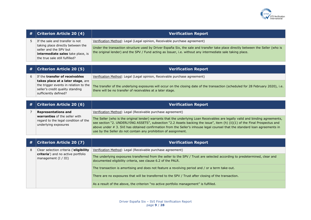

| # | <b>Criterion Article 20 (4)</b>                                                                                                                                       | <b>Verification Report</b>                                                                                                                                                                                                                                                                                                                                                                                                                                       |  |
|---|-----------------------------------------------------------------------------------------------------------------------------------------------------------------------|------------------------------------------------------------------------------------------------------------------------------------------------------------------------------------------------------------------------------------------------------------------------------------------------------------------------------------------------------------------------------------------------------------------------------------------------------------------|--|
| 5 | If the sale and transfer is not<br>taking place directly between the<br>seller and the SPV but<br>intermediate sales take place, is<br>the true sale still fulfilled? | Verification Method: Legal (Legal opinion, Receivable purchase agreement)                                                                                                                                                                                                                                                                                                                                                                                        |  |
|   |                                                                                                                                                                       | Under the transaction structure used by Driver España Six, the sale and transfer take place directly between the Seller (who is<br>the original lender) and the SPV / Fund acting as Issuer, i.e. without any intermediate sale taking place.                                                                                                                                                                                                                    |  |
|   |                                                                                                                                                                       |                                                                                                                                                                                                                                                                                                                                                                                                                                                                  |  |
| # | <b>Criterion Article 20 (5)</b>                                                                                                                                       | <b>Verification Report</b>                                                                                                                                                                                                                                                                                                                                                                                                                                       |  |
| 6 | If the transfer of receivables                                                                                                                                        | Verification Method: Legal (Legal opinion, Receivable purchase agreement)                                                                                                                                                                                                                                                                                                                                                                                        |  |
|   | takes place at a later stage, are<br>the trigger events in relation to the<br>seller's credit quality standing<br>sufficiently defined?                               | The transfer of the underlying exposures will occur on the closing date of the transaction (scheduled for 28 February 2020), i.e.<br>there will be no transfer of receivables at a later stage.                                                                                                                                                                                                                                                                  |  |
|   |                                                                                                                                                                       |                                                                                                                                                                                                                                                                                                                                                                                                                                                                  |  |
| # | <b>Criterion Article 20 (6)</b>                                                                                                                                       | <b>Verification Report</b>                                                                                                                                                                                                                                                                                                                                                                                                                                       |  |
| 7 | <b>Representations and</b>                                                                                                                                            | Verification Method: Legal (Receivable purchase agreement)                                                                                                                                                                                                                                                                                                                                                                                                       |  |
|   | warranties of the seller with<br>regard to the legal condition of the<br>underlying exposures                                                                         | The Seller (who is the original lender) warrants that the underlying Loan Receivables are legally valid and binding agreements,<br>see section "2. UNDERLYING ASSETS", subsection "2.2 Assets backing the issue", item (h) (ii)(1) of the Final Prospectus and<br>above under # 3. SVI has obtained confirmation from the Seller's inhouse legal counsel that the standard loan agreements in<br>use by the Seller do not contain any prohibition of assignment. |  |
|   |                                                                                                                                                                       |                                                                                                                                                                                                                                                                                                                                                                                                                                                                  |  |
| # | <b>Criterion Article 20 (7)</b>                                                                                                                                       | <b>Verification Report</b>                                                                                                                                                                                                                                                                                                                                                                                                                                       |  |
| 8 | Clear selection criteria ('eligibility                                                                                                                                | Verification Method: Legal (Receivable purchase agreement)                                                                                                                                                                                                                                                                                                                                                                                                       |  |
|   | criteria') and no active portfolio<br>management (I / III)                                                                                                            | The underlying exposures transferred from the seller to the SPV / Trust are selected according to predetermined, clear and<br>documented eligibility criteria, see clause 6.2 of the PALR.                                                                                                                                                                                                                                                                       |  |
|   |                                                                                                                                                                       | The transaction is amortising and does not feature a revolving period and / or a term take-out.                                                                                                                                                                                                                                                                                                                                                                  |  |
|   |                                                                                                                                                                       | There are no exposures that will be transferred to the SPV / Trust after closing of the transaction.                                                                                                                                                                                                                                                                                                                                                             |  |
|   |                                                                                                                                                                       | As a result of the above, the criterion "no active portfolio management" is fulfilled.                                                                                                                                                                                                                                                                                                                                                                           |  |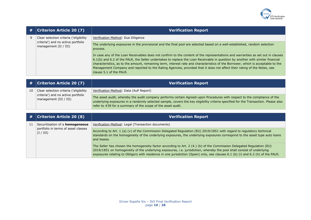

| # | <b>Criterion Article 20 (7)</b>                               | <b>Verification Report</b>                                                                                                                                                                                                                                                                                                                                                                                                                                                                                                                                  |
|---|---------------------------------------------------------------|-------------------------------------------------------------------------------------------------------------------------------------------------------------------------------------------------------------------------------------------------------------------------------------------------------------------------------------------------------------------------------------------------------------------------------------------------------------------------------------------------------------------------------------------------------------|
| 9 | Clear selection criteria ('eligibility                        | Verification Method: Due Diligence                                                                                                                                                                                                                                                                                                                                                                                                                                                                                                                          |
|   | criteria') and no active portfolio<br>management $(II / III)$ | The underlying exposures in the provisional and the final pool are selected based on a well-established, random selection<br>process.                                                                                                                                                                                                                                                                                                                                                                                                                       |
|   |                                                               | In case any of the Loan Receivables does not confirm to the content of the representations and warranties as set out in clauses<br>6.1(b) and 6.2 of the PALR, the Seller undertakes to replace the Loan Receivable in question by another with similar financial<br>characteristics, as to the amount, remaining term, interest rate and characteristics of the Borrower, which is acceptable to the<br>Management Company and reported to the Rating Agencies, provided that it does not affect their rating of the Notes, see<br>clause 5.1 of the PALR. |
| # | <b>Criterion Article 20 (7)</b>                               | <b>Verification Report</b>                                                                                                                                                                                                                                                                                                                                                                                                                                                                                                                                  |

| 10 | Clear selection criteria ('eligibility<br>criteria') and no active portfolio<br>management (III / III) | Verification Method: Data (AuP Report)                                                                                                                                                                                                                                                                                        |
|----|--------------------------------------------------------------------------------------------------------|-------------------------------------------------------------------------------------------------------------------------------------------------------------------------------------------------------------------------------------------------------------------------------------------------------------------------------|
|    |                                                                                                        | The asset audit, whereby the audit company performs certain Agreed-upon Procedures with respect to the compliance of the<br>underlying exposures in a randomly selected sample, covers the key eligibility criteria specified for the Transaction. Please also<br>refer to #39 for a summary of the scope of the asset audit. |

| #  | <b>Criterion Article 20 (8)</b>                  | <b>Verification Report</b>                                                                                                                                                                                                                                                                                                                                                         |
|----|--------------------------------------------------|------------------------------------------------------------------------------------------------------------------------------------------------------------------------------------------------------------------------------------------------------------------------------------------------------------------------------------------------------------------------------------|
| 11 | Securitisation of a homogeneous                  | Verification Method: Legal (Transaction documents)                                                                                                                                                                                                                                                                                                                                 |
|    | portfolio in terms of asset classes<br>(I / III) | According to Art. 1 (a) (v) of the Commission Delegated Regulation (EU) 2019/1851 with regard to regulatory technical<br>standards on the homogeneity of the underlying exposures, the underlying exposures correspond to the asset type auto loans<br>and leases.                                                                                                                 |
|    |                                                  | The Seller has chosen the homogeneity factor according to Art. 2 (4.) (b) of the Commission Delegated Regulation (EU)<br>2019/1851 on homogeneity of the underlying exposures, i.e. jurisdiction, whereby the pool shall consist of underlying<br>exposures relating to Obligors with residence in one jurisdiction (Spain) only, see clauses 6.1 (b) (i) and 6.2 (h) of the PALR. |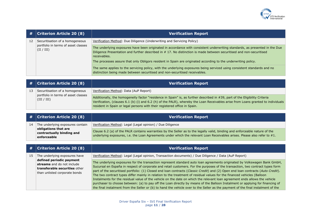

| #  | <b>Criterion Article 20 (8)</b>                   | <b>Verification Report</b>                                                                                                                                                                                                                                         |
|----|---------------------------------------------------|--------------------------------------------------------------------------------------------------------------------------------------------------------------------------------------------------------------------------------------------------------------------|
| 12 | Securitisation of a homogeneous                   | Verification Method: Due Diligence (Underwriting and Servicing Policy)                                                                                                                                                                                             |
|    | portfolio in terms of asset classes<br>(II / III) | The underlying exposures have been originated in accordance with consistent underwriting standards, as presented in the Due<br>Diligence Presentation and further described in #17. No distinction is made between securitised and non-securitised<br>receivables. |
|    |                                                   | The processes assure that only Obligors resident in Spain are originated according to the underwriting policy.                                                                                                                                                     |
|    |                                                   | The same applies to the servicing policy, with the underlying exposures being serviced using consistent standards and no<br>distinction being made between securitised and non-securitised receivables.                                                            |

|    | $\#$   Criterion Article 20 (8)                                                       | <b>Verification Report</b>                                                                                                                                                                                                                                                                                                                    |
|----|---------------------------------------------------------------------------------------|-----------------------------------------------------------------------------------------------------------------------------------------------------------------------------------------------------------------------------------------------------------------------------------------------------------------------------------------------|
| 13 | Securitisation of a homogeneous<br>portfolio in terms of asset classes<br>(III / III) | Verification Method: Data (AuP Report)                                                                                                                                                                                                                                                                                                        |
|    |                                                                                       | Additionally, the homogeneity factor "residence in Spain" is, as further described in #39, part of the Eligibility Criteria<br>Verification, (clauses 6.1 (b) (i) and 6.2 (h) of the PALR), whereby the Loan Receivables arise from Loans granted to individuals<br>resident in Spain or legal persons with their registered office in Spain. |

|    | $\#$   Criterion Article 20 (8)                                  | <b>Verification Report</b>                                                                                                                                                                                                                               |
|----|------------------------------------------------------------------|----------------------------------------------------------------------------------------------------------------------------------------------------------------------------------------------------------------------------------------------------------|
| 14 | The underlying exposures contain                                 | Verification Method: Legal (Legal opinion) / Due Diligence                                                                                                                                                                                               |
|    | obligations that are<br>contractually binding and<br>enforceable | Clause 6.2 (a) of the PALR contains warranties by the Seller as to the legally valid, binding and enforceable nature of the<br>underlying exposures, i.e. the Loan Agreements under which the relevant Loan Receivables arises. Please also refer to #1. |

| #  | Criterion Article 20 (8)                                                                                                                                  | <b>Verification Report</b>                                                                                                                                                                                                                                                                                                                                                                                                                                                                                                                                                                                                                                                                                                                                                                                                                                                                                                  |
|----|-----------------------------------------------------------------------------------------------------------------------------------------------------------|-----------------------------------------------------------------------------------------------------------------------------------------------------------------------------------------------------------------------------------------------------------------------------------------------------------------------------------------------------------------------------------------------------------------------------------------------------------------------------------------------------------------------------------------------------------------------------------------------------------------------------------------------------------------------------------------------------------------------------------------------------------------------------------------------------------------------------------------------------------------------------------------------------------------------------|
| 15 | The underlying exposures have<br>defined periodic payment<br>streams and do not include<br>transferable securities other<br>than unlisted corporate bonds | Verification Method: Legal (Legal opinion, Transaction documents) / Due Diligence / Data (AuP Report)                                                                                                                                                                                                                                                                                                                                                                                                                                                                                                                                                                                                                                                                                                                                                                                                                       |
|    |                                                                                                                                                           | The underlying exposures for the transaction represent standard auto loan agreements originated by Volkswagen Bank GmbH,<br>Sucursal en España in respect of corporate and retail customers. For the purposes of the transaction, two contract types form<br>part of the securitised portfolio: (1) Closed end loan contracts (Classic Credit) and (2) Open end loan contracts (Auto Credit).<br>The two contract types differ mainly in relation to the treatment of residual values for the financed vehicles (Balloon<br>Instalments for the residual value of the vehicle on the date on which the relevant loan agreement ends allows the vehicle<br>purchaser to choose between: (a) to pay off the Loan directly by means of the Balloon Instalment or applying for financing of<br>the final instalment from the Seller or (b) to hand the vehicle over to the Seller as the payment of the final instalment of the |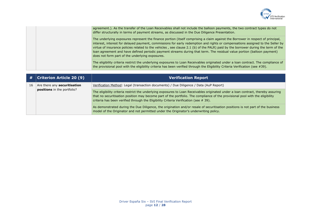

| agreement.). As the transfer of the Loan Receivables shall not include the balloon payments, the two contract types do not<br>differ structurally in terms of payment streams, as discussed in the Due Diligence Presentation.                                                                                                                                                                                                                                                                                                                                                       |
|--------------------------------------------------------------------------------------------------------------------------------------------------------------------------------------------------------------------------------------------------------------------------------------------------------------------------------------------------------------------------------------------------------------------------------------------------------------------------------------------------------------------------------------------------------------------------------------|
| The underlying exposures represent the finance portion (itself comprising a claim against the Borrower in respect of principal,<br>interest, interest for delayed payment, commissions for early redemption and rights or compensations assigned to the Seller by<br>virtue of insurance policies related to the vehicles, see clause 2.1 (b) of the PALR) paid by the borrower during the term of the<br>loan agreement and have defined periodic payment streams during that term. The residual value portion (balloon payment)<br>does not form part of the underlying exposures. |
| The eligibility criteria restrict the underlying exposures to Loan Receivables originated under a loan contract. The compliance of<br>the provisional pool with the eligibility criteria has been verified through the Eligibility Criteria Verification (see #39).                                                                                                                                                                                                                                                                                                                  |

| #  | <b>Criterion Article 20 (9)</b>                                    | <b>Verification Report</b>                                                                                                                                                                                                                                                                                                                                |
|----|--------------------------------------------------------------------|-----------------------------------------------------------------------------------------------------------------------------------------------------------------------------------------------------------------------------------------------------------------------------------------------------------------------------------------------------------|
| 16 | Are there any <b>securitisation</b><br>positions in the portfolio? | Verification Method: Legal (transaction documents) / Due Diligence / Data (AuP Report)                                                                                                                                                                                                                                                                    |
|    |                                                                    | The eligibility criteria restrict the underlying exposures to Loan Receivables originated under a loan contract, thereby assuring<br>that no securitisation position may become part of the portfolio. The compliance of the provisional pool with the eligibility<br>criteria has been verified through the Eligibility Criteria Verification (see #39). |
|    |                                                                    | As demonstrated during the Due Diligence, the origination and/or resale of securitisation positions is not part of the business<br>model of the Originator and not permitted under the Originator's underwriting policy.                                                                                                                                  |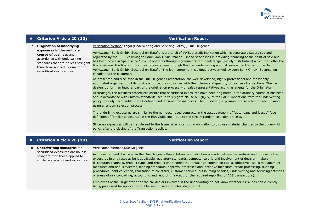

| #  | <b>Criterion Article 20 (10)</b>                                                                                                                                                                                                       | <b>Verification Report</b>                                                                                                                                                                                                                                                                                                                                                                                                                                                                                                                                                                                                                                      |
|----|----------------------------------------------------------------------------------------------------------------------------------------------------------------------------------------------------------------------------------------|-----------------------------------------------------------------------------------------------------------------------------------------------------------------------------------------------------------------------------------------------------------------------------------------------------------------------------------------------------------------------------------------------------------------------------------------------------------------------------------------------------------------------------------------------------------------------------------------------------------------------------------------------------------------|
| 17 | <b>Origination of underlying</b><br>exposures in the ordinary<br>course of business and in<br>accordance with underwriting<br>standards that are no less stringent<br>than those applied to similar non-<br>securitised risk positions | Verification Method: Legal (Underwriting and Servicing Policy) / Due Diligence                                                                                                                                                                                                                                                                                                                                                                                                                                                                                                                                                                                  |
|    |                                                                                                                                                                                                                                        | Volkswagen Bank GmbH, Sucursal en España is a branch of VWB, a credit institution which is separately supervised and<br>regulated by the ECB. Volkswagen Bank GmbH, Sucursal en España specialises in providing financing at the point of sale and<br>has been active in Spain since 1967. It operates through agreements with dealerships (mainly distributors) which then offer the<br>final customer the financing for their products, even though the loan underwriting and risk assessment is performed by<br>Volkswagen Bank GmbH, Sucursal en España. The Ioan agreement is signed between Volkswagen Bank GmbH, Sucursal en<br>España and the customer. |
|    |                                                                                                                                                                                                                                        | As presented and discussed in the Due Diligence Presentation, the well-developed, highly professional and reasonably<br>automated organisation of its business procedures coincides with the volume and quantity of business transactions. The car<br>dealers do form an integral part of the origination process with sales representatives acting as agents for the Originator.                                                                                                                                                                                                                                                                               |
|    |                                                                                                                                                                                                                                        | Accordingly, the business procedures assure that securitised exposures have been originated in the ordinary course of business<br>and in accordance with uniform standards, see in this regard clause 6.1 (b)(iv) of the PALR. Deviations from the underwriting<br>policy are only permissible in well-defined and documented instances. The underlying exposures are selected for securitisation<br>using a random selection process.                                                                                                                                                                                                                          |
|    |                                                                                                                                                                                                                                        | The underlying exposures are similar to the non-securitised contracts in the asset category of "auto loans and leases" (see<br>definition of "similar exposures" in the EBA Guidelines) due to the strictly random selection process.                                                                                                                                                                                                                                                                                                                                                                                                                           |
|    |                                                                                                                                                                                                                                        | Since no exposures will be transferred to the Issuer after closing, no obligation to disclose material changes to the underwriting<br>policy after the closing of the Transaction applies.                                                                                                                                                                                                                                                                                                                                                                                                                                                                      |

| #  | $ $ Criterion Article 20 (10)                                                                                                                  | <b>Verification Report</b>                                                                                                                                                                                                                                                                                                                                                                                                                                                                                                                                                                                                                                                                                                                                                                                                                                                                                                                    |
|----|------------------------------------------------------------------------------------------------------------------------------------------------|-----------------------------------------------------------------------------------------------------------------------------------------------------------------------------------------------------------------------------------------------------------------------------------------------------------------------------------------------------------------------------------------------------------------------------------------------------------------------------------------------------------------------------------------------------------------------------------------------------------------------------------------------------------------------------------------------------------------------------------------------------------------------------------------------------------------------------------------------------------------------------------------------------------------------------------------------|
| 18 | <b>Underwriting standards for</b><br>securitised exposures are no less<br>stringent than those applied to<br>similar non-securitised exposures | Verification Method: Due Diligence<br>As presented and discussed in the Due Diligence Presentation, no distinction is made between securitised and non-securitised<br>exposures in any respect, be it applicable regulatory standards, competence grid and involvement of decision-makers,<br>distribution channels, product types and product characteristics, annual agreements on (sales) objectives, sales management<br>measures and bonus systems, lending standards, approval processes and incentive measures, credit processing, dunning<br>procedures, debt collection, realisation of collateral, customer service, outsourcing of sales, underwriting and servicing activities<br>or areas of risk controlling, accounting and reporting (except for the required reporting of ABS transactions).<br>Employees of the Originator or at the car dealers involved in the underwriting do not know whether a risk position currently |
|    |                                                                                                                                                | being processed for application will be securitised at a later stage or not.                                                                                                                                                                                                                                                                                                                                                                                                                                                                                                                                                                                                                                                                                                                                                                                                                                                                  |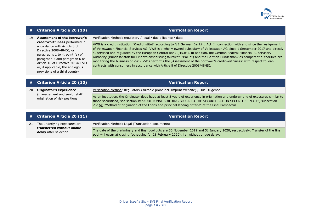

| #  | <b>Criterion Article 20 (10)</b>                                                                                                                                                                                                                                                                          | <b>Verification Report</b>                                                                                                                                                                                                                                                                                                                                                                                                                                                                                                                                                                                                                                                                                                                                                                       |
|----|-----------------------------------------------------------------------------------------------------------------------------------------------------------------------------------------------------------------------------------------------------------------------------------------------------------|--------------------------------------------------------------------------------------------------------------------------------------------------------------------------------------------------------------------------------------------------------------------------------------------------------------------------------------------------------------------------------------------------------------------------------------------------------------------------------------------------------------------------------------------------------------------------------------------------------------------------------------------------------------------------------------------------------------------------------------------------------------------------------------------------|
| 19 | Assessment of the borrower's<br>creditworthiness performed in<br>accordance with Article 8 of<br>Directive 2008/48/EC, or<br>paragraphs 1 to 4, point (a) of<br>paragraph 5 and paragraph 6 of<br>Article 18 of Directive 2014/17/EU<br>or, if applicable, the analogous<br>provisions of a third country | Verification Method: regulatory / legal / due diligence / data<br>VWB is a credit institution (Kreditinstitut) according to § 1 German Banking Act. In connection with and since the realignment<br>of Volkswagen Financial Services AG, VWB is a wholly owned subsidiary of Volkswagen AG since 1 September 2017 and directly<br>supervised and regulated by the European Central Bank ("ECB"). In addition, the German Federal Financial Supervisory<br>Authority (Bundesanstalt für Finanzdienstleistungsaufsicht, "BaFin") and the German Bundesbank as competent authorities are<br>monitoring the business of VWB. VWB performs the "Assessment of the borrower's creditworthiness" with respect to loan<br>contracts with consumers in accordance with Article 8 of Directive 2008/48/EC. |
| #  | <b>Criterion Article 20 (10)</b>                                                                                                                                                                                                                                                                          | <b>Verification Report</b>                                                                                                                                                                                                                                                                                                                                                                                                                                                                                                                                                                                                                                                                                                                                                                       |

| 20 <b>Originator's experience</b> | Verification Method: Regulatory (suitable proof incl. Imprint Website) / Due Diligence                                             |
|-----------------------------------|------------------------------------------------------------------------------------------------------------------------------------|
| (management and senior staff) in  | As an institution, the Originator does have at least 5 years of experience in origination and underwriting of exposures similar to |
| origination of risk positions     |                                                                                                                                    |
|                                   | those securitised, see section IV "ADDITIONAL BUILDING BLOCK TO THE SECURITISATION SECURITIES NOTE", subsection                    |
|                                   | 2.2 (g) "Method of origination of the Loans and principal lending criteria" of the Final Prospectus.                               |

|  | $\mid$ $\#$ $\mid$ Criterion Article 20 (11)                                              | <b>Verification Report</b>                                                                                                                                                                                              |
|--|-------------------------------------------------------------------------------------------|-------------------------------------------------------------------------------------------------------------------------------------------------------------------------------------------------------------------------|
|  | The underlying exposures are<br>$\mid$ transferred without undue<br>delay after selection | Verification Method: Legal (Transaction documents)                                                                                                                                                                      |
|  |                                                                                           | The date of the preliminary and final pool cuts are 30 November 2019 and 31 January 2020, respectively. Transfer of the final<br>pool will occur at closing (scheduled for 28 February 2020), i.e. without undue delay. |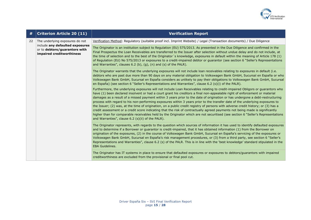

| #  | <b>Criterion Article 20 (11)</b>                                                                                                 | <b>Verification Report</b>                                                                                                                                                                                                                                                                                                                                                                                                                                                                                                                                                                                                                                                                                                                                                                                                                                                                                                                                                                    |
|----|----------------------------------------------------------------------------------------------------------------------------------|-----------------------------------------------------------------------------------------------------------------------------------------------------------------------------------------------------------------------------------------------------------------------------------------------------------------------------------------------------------------------------------------------------------------------------------------------------------------------------------------------------------------------------------------------------------------------------------------------------------------------------------------------------------------------------------------------------------------------------------------------------------------------------------------------------------------------------------------------------------------------------------------------------------------------------------------------------------------------------------------------|
| 22 | The underlying exposures do not<br>include any defaulted exposures<br>or to debtors/guarantors with<br>impaired creditworthiness | Verification Method: Regulatory (suitable proof incl. Imprint Website) / Legal (Transaction documents) / Due Diligence                                                                                                                                                                                                                                                                                                                                                                                                                                                                                                                                                                                                                                                                                                                                                                                                                                                                        |
|    |                                                                                                                                  | The Originator is an institution subject to Regulation (EU) 575/2013. As presented in the Due Diligence and confirmed in the<br>Final Prospectus the Loan Receivables are transferred to the Issuer after selection without undue delay and do not include, at<br>the time of selection and to the best of the Originator's knowledge, exposures in default within the meaning of Article 178 (1)<br>of Regulation (EU) No 575/2013 or exposures to a credit-impaired debtor or guarantor (see section 6 "Seller's Representations<br>and Warranties", clauses $6.2$ (b), (q), (n) and (s) of the PALR).                                                                                                                                                                                                                                                                                                                                                                                      |
|    |                                                                                                                                  | The Originator warrants that the underlying exposures will not include loan receivables relating to exposures in default (i.e.<br>debtors who are past due more than 90 days on any material obligation to Volkswagen Bank GmbH, Sucursal en España or who<br>Volkswagen Bank GmbH, Sucursal en España considers as unlikely to pay their obligations to Volkswagen Bank GmbH, Sucursal<br>en España) (see section 6 "Seller's Representations and Warranties", clause 6.2 (s)(i) of the PALR).                                                                                                                                                                                                                                                                                                                                                                                                                                                                                               |
|    |                                                                                                                                  | Furthermore, the underlying exposures will not include Loan Receivables relating to credit-impaired Obligors or guarantors who<br>have (1) been declared insolvent or had a court grant his creditors a final non-appealable right of enforcement or material<br>damages as a result of a missed payment within 3 years prior to the date of origination or has undergone a debt-restructuring<br>process with regard to his non-performing exposures within 3 years prior to the transfer date of the underlying exposures to<br>the Issuer; (2) was, at the time of origination, on a public credit registry of persons with adverse credit history; or (3) has a<br>credit assessment or a credit score indicating that the risk of contractually agreed payments not being made is significantly<br>higher than for comparable receivables held by the Originator which are not securitised (see section 6 "Seller's Representations<br>and Warranties", clause 6.2 (s)(ii) of the PALR). |
|    |                                                                                                                                  | The Originator represents, with regards to the question which sources of information it has used to identify defaulted exposures<br>and to determine if a Borrower or guarantor is credit-impaired, that it has obtained information (1) from the Borrower on<br>origination of the exposures, (2) in the course of Volkswagen Bank GmbH, Sucursal en España's servicing of the exposures or<br>Volkswagen Bank GmbH, Sucursal en España's risk management procedures, or (3) from a third party, see section 6 "Seller's<br>Representations and Warranties", clause 6.2 (s) of the PALR. This is in line with the 'best knowledge' standard stipulated in the<br><b>EBA Guidelines.</b>                                                                                                                                                                                                                                                                                                      |
|    |                                                                                                                                  | The Originator has IT systems in place to ensure that defaulted exposures or exposures to debtors/guarantors with impaired<br>creditworthiness are excluded from the provisional or final pool cut.                                                                                                                                                                                                                                                                                                                                                                                                                                                                                                                                                                                                                                                                                                                                                                                           |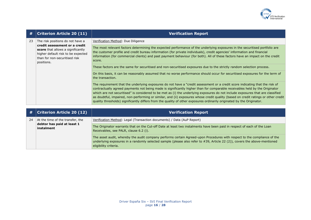

| #  | <b>Criterion Article 20 (11)</b>                                                                                                                                                            | <b>Verification Report</b>                                                                                                                                                                                                                                                                                                                                                                                                                                                                                                                                                                                                                                     |
|----|---------------------------------------------------------------------------------------------------------------------------------------------------------------------------------------------|----------------------------------------------------------------------------------------------------------------------------------------------------------------------------------------------------------------------------------------------------------------------------------------------------------------------------------------------------------------------------------------------------------------------------------------------------------------------------------------------------------------------------------------------------------------------------------------------------------------------------------------------------------------|
| 23 | The risk positions do not have a<br>credit assessment or a credit<br>score that allows a significantly<br>higher default risk to be expected<br>than for non-securitised risk<br>positions. | Verification Method: Due Diligence                                                                                                                                                                                                                                                                                                                                                                                                                                                                                                                                                                                                                             |
|    |                                                                                                                                                                                             | The most relevant factors determining the expected performance of the underlying exposures in the securitised portfolio are<br>the customer profile and credit bureau information (for private individuals), credit agencies' information and financial<br>information (for commercial clients) and past payment behaviour (for both). All of these factors have an impact on the credit<br>score.                                                                                                                                                                                                                                                             |
|    |                                                                                                                                                                                             | These factors are the same for securitised and non-securitised exposures due to the strictly random selection process.                                                                                                                                                                                                                                                                                                                                                                                                                                                                                                                                         |
|    |                                                                                                                                                                                             | On this basis, it can be reasonably assumed that no worse performance should occur for securitised exposures for the term of<br>the transaction.                                                                                                                                                                                                                                                                                                                                                                                                                                                                                                               |
|    |                                                                                                                                                                                             | The requirement that the underlying exposures do not have a "credit assessment or a credit score indicating that the risk of<br>contractually agreed payments not being made is significantly higher than for comparable receivables held by the Originator<br>which are not securitised" is considered to be met as (i) the underlying exposures do not include exposures that are classified<br>as doubtful, impaired, non-performing or similar, and (ii) exposures whose credit quality (based on credit ratings or other credit<br>quality thresholds) significantly differs from the quality of other exposures ordinarily originated by the Originator. |

| #  | <b>Criterion Article 20 (12)</b>                                             | <b>Verification Report</b>                                                                                                                                                                                                                                                     |
|----|------------------------------------------------------------------------------|--------------------------------------------------------------------------------------------------------------------------------------------------------------------------------------------------------------------------------------------------------------------------------|
| 24 | At the time of the transfer, the<br>debtor has paid at least 1<br>instalment | Verification Method: Legal (Transaction documents) / Data (AuP Report)                                                                                                                                                                                                         |
|    |                                                                              | The Originator warrants that on the Cut-off Date at least two instalments have been paid in respect of each of the Loan<br>Receivables, see PALR, clause 6.2 (i).                                                                                                              |
|    |                                                                              | The asset audit, whereby the audit company performs certain Agreed-upon Procedures with respect to the compliance of the<br>underlying exposures in a randomly selected sample (please also refer to #39, Article 22 (2)), covers the above-mentioned<br>eligibility criteria. |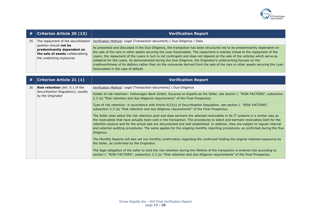

| #  | $ $ Criterion Article 20 (13)                                                                                          | <b>Verification Report</b>                                                                                                                                                                                                                                                                                                                                                                                                                                                                                                                                                                                                                                                              |
|----|------------------------------------------------------------------------------------------------------------------------|-----------------------------------------------------------------------------------------------------------------------------------------------------------------------------------------------------------------------------------------------------------------------------------------------------------------------------------------------------------------------------------------------------------------------------------------------------------------------------------------------------------------------------------------------------------------------------------------------------------------------------------------------------------------------------------------|
| 25 | The repayment of the securitisation                                                                                    | Verification Method: Legal (Transaction document) / Due Diligence / Data                                                                                                                                                                                                                                                                                                                                                                                                                                                                                                                                                                                                                |
|    | position should not be<br>predominantly dependent on<br>the sale of assets collateralising<br>the underlying exposures | As presented and discussed in the Due Diligence, the transaction has been structured not to be predominantly dependent on<br>the sale of the cars or other assets securing the Loan Receivables. The repayment is entirely linked to the repayment of the<br>Loans; the repayment of the Loans in turn is not contingent and does not depend on the sale of the vehicles which serve as<br>collateral for the Loans. As demonstrated during the Due Diligence, the Originator's underwriting focuses on the<br>creditworthiness of its debtors rather than on the recoveries derived from the sale of the cars or other assets securing the Loan<br>Receivables in the case of default. |

| #  | <b>Criterion Article 21 (1)</b>                                                                    | <b>Verification Report</b>                                                                                                                                                                                                                                                                                                                                                                                                                                                                                                                         |
|----|----------------------------------------------------------------------------------------------------|----------------------------------------------------------------------------------------------------------------------------------------------------------------------------------------------------------------------------------------------------------------------------------------------------------------------------------------------------------------------------------------------------------------------------------------------------------------------------------------------------------------------------------------------------|
| 26 | <b>Risk retention</b> (Art. 6.1 of the<br>Securitisation Regulation), usually<br>by the Originator | Verification Method: Legal (Transaction documents) / Due Diligence                                                                                                                                                                                                                                                                                                                                                                                                                                                                                 |
|    |                                                                                                    | Holder of risk retention: Volkswagen Bank GmbH, Sucursal en España as the Seller, see section I. "RISK FACTORS", subsection<br>2.3 (a) "Risk retention and due diligence requirements" of the Final Prospectus.                                                                                                                                                                                                                                                                                                                                    |
|    |                                                                                                    | Type of risk retention: in accordance with Article 6(3)(c) of Securitisation Regulation, see section I. "RISK FACTORS",<br>subsection 2.3 (a) "Risk retention and due diligence requirements" of the Final Prospectus.                                                                                                                                                                                                                                                                                                                             |
|    |                                                                                                    | The Seller does select the risk retention pool and does earmark the selected receivables in its IT systems in a similar way as<br>the receivables that have actually been sold in the transaction. The procedures to select and earmark receivables both for the<br>retention poolcut and for the actual sale are documented and well established. In addition, they are subject to regular internal<br>and external auditing procedures. The same applies for the ongoing monthly reporting procedures, as confirmed during the Due<br>Diligence. |
|    |                                                                                                    | The Monthly Reports will also set out monthly confirmation regarding the continued holding the original retained exposures by<br>the Seller, as confirmed by the Originator.                                                                                                                                                                                                                                                                                                                                                                       |
|    |                                                                                                    | The legal obligation of the seller to hold the risk retention during the lifetime of the transaction is entered into according to<br>section I. "RISK FACTORS", subsection 2.3 (a) "Risk retention and due diligence requirements" of the Final Prospectus.                                                                                                                                                                                                                                                                                        |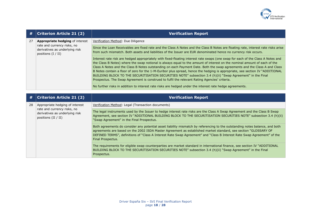

| #  | <b>Criterion Article 21 (2)</b>                                                                                         | <b>Verification Report</b>                                                                                                                                                                                                                                                                                                                                                                                                                                                                                                                                                                                                                                                                                                               |
|----|-------------------------------------------------------------------------------------------------------------------------|------------------------------------------------------------------------------------------------------------------------------------------------------------------------------------------------------------------------------------------------------------------------------------------------------------------------------------------------------------------------------------------------------------------------------------------------------------------------------------------------------------------------------------------------------------------------------------------------------------------------------------------------------------------------------------------------------------------------------------------|
| 27 | Appropriate hedging of interest                                                                                         | Verification Method: Due Diligence                                                                                                                                                                                                                                                                                                                                                                                                                                                                                                                                                                                                                                                                                                       |
|    | rate and currency risks, no<br>derivatives as underlying risk<br>positions $(I / II)$                                   | Since the Loan Receivables are fixed rate and the Class A Notes and the Class B Notes are floating rate, interest rate risks arise<br>from such mismatch. Both assets and liabilities of the Issuer are EUR denominated hence no currency risk occurs.                                                                                                                                                                                                                                                                                                                                                                                                                                                                                   |
|    |                                                                                                                         | Interest rate risk are hedged appropriately with fixed-floating interest rate swaps (one swap for each of the Class A Notes and<br>the Class B Notes) where the swap notional is always equal to the amount of interest on the nominal amount of each of the<br>Class A Notes and the Class B Notes outstanding on each Payment Date. Both the swap agreements and the Class A and Class<br>B Notes contain a floor of zero for the 1-M-Euribor plus spread, hence the hedging is appropriate, see section IV "ADDITIONAL<br>BUILDING BLOCK TO THE SECURITISATION SECURITIES NOTE" subsection 3.4 (h)(ii) "Swap Agreement" in the Final<br>Prospectus. The Swap Agreement is construed to fulfil the relevant Rating Agencies' criteria. |
|    |                                                                                                                         | No further risks in addition to interest rate risks are hedged under the interest rate hedge agreements.                                                                                                                                                                                                                                                                                                                                                                                                                                                                                                                                                                                                                                 |
|    |                                                                                                                         |                                                                                                                                                                                                                                                                                                                                                                                                                                                                                                                                                                                                                                                                                                                                          |
| #  | <b>Criterion Article 21 (2)</b>                                                                                         | <b>Verification Report</b>                                                                                                                                                                                                                                                                                                                                                                                                                                                                                                                                                                                                                                                                                                               |
| 28 | Appropriate hedging of interest<br>rate and currency risks, no<br>derivatives as underlying risk<br>positions (II / II) | Verification Method: Legal (Transaction documents)                                                                                                                                                                                                                                                                                                                                                                                                                                                                                                                                                                                                                                                                                       |
|    |                                                                                                                         | The legal instruments used by the Issuer to hedge interest rate risks are the Class A Swap Agreement and the Class B Swap<br>Agreement, see section IV "ADDITIONAL BUILDING BLOCK TO THE SECURITISATION SECURITIES NOTE" subsection 3.4 (h)(ii)<br>"Swap Agreement" in the Final Prospectus.                                                                                                                                                                                                                                                                                                                                                                                                                                             |
|    |                                                                                                                         | Both agreements do consider any potential asset liability mismatch by referencing to the outstanding notes balance, and both<br>agreements are based on the 2002 ISDA Master Agreement as established market standard, see section "GLOSSARY OF<br>DEFINED TERMS", definitions of "Class A Interest Rate Swap Agreement" and "Class B Interest Rate Swap Agreement" of the<br>Final Prospectus.                                                                                                                                                                                                                                                                                                                                          |
|    |                                                                                                                         | The requirements for eligible swap counterparties are market standard in international finance, see section IV "ADDITIONAL<br>BUILDING BLOCK TO THE SECURITISATION SECURITIES NOTE" subsection 3.4 (h)(ii) "Swap Agreement" in the Final<br>Prospectus.                                                                                                                                                                                                                                                                                                                                                                                                                                                                                  |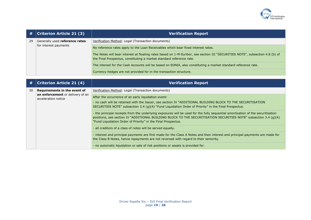

| #  | <b>Criterion Article 21 (3)</b>                         | <b>Verification Report</b>                                                                                                                                                                            |
|----|---------------------------------------------------------|-------------------------------------------------------------------------------------------------------------------------------------------------------------------------------------------------------|
| 29 | Generally used reference rates<br>for interest payments | Verification Method: Legal (Transaction documents)                                                                                                                                                    |
|    |                                                         | No reference rates apply to the Loan Receivables which bear fixed interest rates.                                                                                                                     |
|    |                                                         | The Notes will bear interest at floating rates based on 1-M-Euribor, see section III "SECURITIES NOTE", subsection 4.8 (b) of<br>the Final Prospectus, constituting a market standard reference rate. |
|    |                                                         | The interest for the Cash Accounts will be based on EONIA, also constituting a market standard reference rate.                                                                                        |
|    |                                                         | Currency hedges are not provided for in the transaction structure.                                                                                                                                    |

| #  | <b>Criterion Article 21 (4)</b>                                                         | <b>Verification Report</b>                                                                                                                                                                                                                                                                                            |
|----|-----------------------------------------------------------------------------------------|-----------------------------------------------------------------------------------------------------------------------------------------------------------------------------------------------------------------------------------------------------------------------------------------------------------------------|
| 30 | Requirements in the event of<br>an enforcement or delivery of an<br>acceleration notice | Verification Method: Legal (Transaction documents)                                                                                                                                                                                                                                                                    |
|    |                                                                                         | After the occurrence of an early liquidation event:<br>- no cash will be retained with the Issuer, see section IV "ADDITIONAL BUILDING BLOCK TO THE SECURITISATION<br>SECURITIES NOTE" subsection 3.4 (g)(4) "Fund Liquidation Order of Priority" in the Final Prospectus.                                            |
|    |                                                                                         | - the principal receipts from the underlying exposures will be used for the fully sequential amortisation of the securitisation<br>positions, see section IV "ADDITIONAL BUILDING BLOCK TO THE SECURITISATION SECURITIES NOTE" subsection 3.4 (q)(4)<br>"Fund Liquidation Order of Priority" in the Final Prospectus. |
|    |                                                                                         | - all creditors of a class of notes will be served equally.                                                                                                                                                                                                                                                           |
|    |                                                                                         | - interest and principal payments are first made for the Class A Notes and then interest and principal payments are made for<br>the Class B Notes, hence repayments are not reversed with regard to their seniority.                                                                                                  |
|    |                                                                                         | - no automatic liquidation or sale of risk positions or assets is provided for.                                                                                                                                                                                                                                       |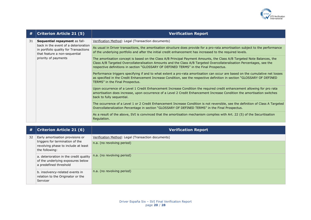

| #  | <b>Criterion Article 21 (5)</b>                                                                                                                                         | <b>Verification Report</b>                                                                                                                                                                                                                                                                                                                  |
|----|-------------------------------------------------------------------------------------------------------------------------------------------------------------------------|---------------------------------------------------------------------------------------------------------------------------------------------------------------------------------------------------------------------------------------------------------------------------------------------------------------------------------------------|
| 31 | Sequential repayment as fall-<br>back in the event of a deterioration<br>in portfolio quality for Transactions<br>that feature a non-sequential<br>priority of payments | Verification Method: Legal (Transaction documents)                                                                                                                                                                                                                                                                                          |
|    |                                                                                                                                                                         | As usual in Driver transactions, the amortisation structure does provide for a pro-rata amortisation subject to the performance<br>of the underlying portfolio and after the initial credit enhancement has increased to the required levels.                                                                                               |
|    |                                                                                                                                                                         | The amortisation concept is based on the Class A/B Principal Payment Amounts, the Class A/B Targeted Note Balances, the<br>Class A/B Targeted Overcollateralisation Amounts and the Class A/B Targeted Overcollateralisation Percentages, see the<br>respective definitions in section "GLOSSARY OF DEFINED TERMS" in the Final Prospectus. |
|    |                                                                                                                                                                         | Performance triggers specifying if and to what extent a pro-rata amortisation can occur are based on the cumulative net losses<br>as specified in the Credit Enhancement Increase Condition, see the respective definition in section "GLOSSARY OF DEFINED<br>TERMS" in the Final Prospectus.                                               |
|    |                                                                                                                                                                         | Upon occurrence of a Level 1 Credit Enhancement Increase Condition the required credit enhancement allowing for pro rata<br>amortisation does increase, upon occurrence of a Level 2 Credit Enhancement Increase Condition the amortisation switches<br>back to fully sequential.                                                           |
|    |                                                                                                                                                                         | The occurrence of a Level 1 or 2 Credit Enhancement Increase Condition is not reversible, see the definition of Class A Targeted<br>Overcollateralization Percentage in section "GLOSSARY OF DEFINED TERMS" in the Final Prospectus.                                                                                                        |
|    |                                                                                                                                                                         | As a result of the above, SVI is convinced that the amortisation mechanism complies with Art. 22 (5) of the Securitisation<br>Regulation.                                                                                                                                                                                                   |

| #  | <b>Criterion Article 21 (6)</b>                                                                                              | <b>Verification Report</b>                                                       |
|----|------------------------------------------------------------------------------------------------------------------------------|----------------------------------------------------------------------------------|
| 32 | Early amortisation provisions or<br>triggers for termination of the<br>revolving phase to include at least<br>the following: | Verification Method: Legal (Transaction documents)<br>n.a. (no revolving period) |
|    | a. deterioration in the credit quality<br>of the underlying exposures below<br>a predefined threshold                        | n.a. (no revolving period)                                                       |
|    | b. insolvency-related events in<br>relation to the Originator or the<br>Servicer                                             | n.a. (no revolving period)                                                       |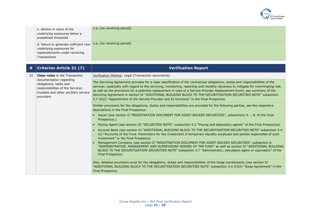

| c. decline in value of the<br>underlying exposures below a<br>predefined threshold                                  | n.a. (no revolving period) |
|---------------------------------------------------------------------------------------------------------------------|----------------------------|
| d. failure to generate sufficient new<br>underlying exposures for<br>replenishments under revolving<br>Transactions | n.a. (no revolving period) |

| #  | <b>Criterion Article 21 (7)</b>                                                                                                             | <b>Verification Report</b>                                                                                                                                                                                                                                                                                                                                                                                                                                                                                                                                                                                     |
|----|---------------------------------------------------------------------------------------------------------------------------------------------|----------------------------------------------------------------------------------------------------------------------------------------------------------------------------------------------------------------------------------------------------------------------------------------------------------------------------------------------------------------------------------------------------------------------------------------------------------------------------------------------------------------------------------------------------------------------------------------------------------------|
| 33 | <b>Clear rules</b> in the Transaction                                                                                                       | Verification Method: Legal (Transaction documents)                                                                                                                                                                                                                                                                                                                                                                                                                                                                                                                                                             |
|    | documentation regarding<br>obligations, tasks and<br>responsibilities of the Servicer,<br>trustees and other ancillary service<br>providers | The Servicing Agreement provides for a clear specification of the contractual obligations, duties and responsibilities of the<br>servicer, especially with regard to the servicing, monitoring, reporting and monthly advances to mitigate for commingling risk,<br>as well as the provisions for a potential replacement in case of a Service Provider Replacement Event, see summary of the<br>Servicing Agreement in section IV "ADDITIONAL BUILDING BLOCK TO THE SECURITISATION SECURITIES NOTE" subsection<br>3.7 (b)(i) "Appointment of the Service Provider and its functions" in the Final Prospectus. |
|    |                                                                                                                                             | Similar provisions for the obligations, duties and responsibilities are provided for the following parties, see the respective<br>descriptions in the Final Prospectus:                                                                                                                                                                                                                                                                                                                                                                                                                                        |
|    |                                                                                                                                             | • Issuer (see section II "REGISTRATION DOCUMENT FOR ASSET-BACKED SECURITIES", subsections 4. - 8. of the Final<br>Prospectus.)                                                                                                                                                                                                                                                                                                                                                                                                                                                                                 |
|    |                                                                                                                                             | Paying Agent (see section III "SECURITIES NOTE", subsection 5.2 "Paying and depository agents" of the Final Prospectus)                                                                                                                                                                                                                                                                                                                                                                                                                                                                                        |
|    |                                                                                                                                             | Account Bank (see section IV "ADDITIONAL BUILDING BLOCK TO THE SECURITISATION SECURITIES NOTE" subsection 3.4<br>(e) "Accounts of the Fund. Parameters for the investment of temporary liquidity surpluses and parties responsible of such<br>investment" in the Final Prospectus                                                                                                                                                                                                                                                                                                                              |
|    |                                                                                                                                             | Management Company (see section II "REGISTRATION DOCUMENT FOR ASSET-BACKED SECURITIES", subsection 6.<br>"ADMINISTRATIVE, MANAGEMENT AND SUPERVISORY BODIES OF THE FUND" as well as section IV "ADDITIONAL BUILDING<br>BLOCK TO THE SECURITISATION SECURITIES NOTE" subsection 3.7 "Administrator, calculation agent or equivalent" of the<br>Final Prospectus.                                                                                                                                                                                                                                                |
|    |                                                                                                                                             | Also, detailed provisions exist for the obligations, duties and responsibilities of the Swap counterparty (see section IV<br>"ADDITIONAL BUILDING BLOCK TO THE SECURITISATION SECURITIES NOTE" subsection 3.4 (h)(ii) "Swap Agreement" in the<br>Final Prospectus.                                                                                                                                                                                                                                                                                                                                             |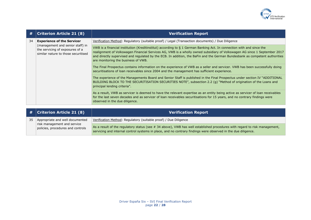

| #  | <b>Criterion Article 21 (8)</b>                                                                                                                 | <b>Verification Report</b>                                                                                                                                                                                                                                                                                                                                                                                               |
|----|-------------------------------------------------------------------------------------------------------------------------------------------------|--------------------------------------------------------------------------------------------------------------------------------------------------------------------------------------------------------------------------------------------------------------------------------------------------------------------------------------------------------------------------------------------------------------------------|
| 34 | <b>Experience of the Servicer</b><br>(management and senior staff) in<br>the servicing of exposures of a<br>similar nature to those securitised | Verification Method: Regulatory (suitable proof) / Legal (Transaction documents) / Due Diligence                                                                                                                                                                                                                                                                                                                         |
|    |                                                                                                                                                 | VWB is a financial institution (Kreditinstitut) according to § 1 German Banking Act. In connection with and since the<br>realignment of Volkswagen Financial Services AG, VWB is a wholly owned subsidiary of Volkswagen AG since 1 September 2017<br>and directly supervised and regulated by the ECB. In addition, the BaFin and the German Bundesbank as competent authorities<br>are monitoring the business of VWB. |
|    |                                                                                                                                                 | The Final Prospectus contains information on the experience of VWB as a seller and servicer. VWB has been successfully doing<br>securitisations of loan receivables since 2004 and the management has sufficient experience.                                                                                                                                                                                             |
|    |                                                                                                                                                 | The experience of the Managements Board and Senior Staff is published in the Final Prospectus under section IV "ADDITIONAL<br>BUILDING BLOCK TO THE SECURITISATION SECURITIES NOTE", subsection 2.2 (g) "Method of origination of the Loans and<br>principal lending criteria".                                                                                                                                          |
|    |                                                                                                                                                 | As a result, VWB as servicer is deemed to have the relevant expertise as an entity being active as servicer of loan receivables<br>for the last seven decades and as servicer of loan receivables securitisations for 15 years, and no contrary findings were<br>observed in the due diligence.                                                                                                                          |

|    | $\#$ Criterion Article 21 (8)                                                                       | <b>Verification Report</b>                                                                                                                                                                                                                  |
|----|-----------------------------------------------------------------------------------------------------|---------------------------------------------------------------------------------------------------------------------------------------------------------------------------------------------------------------------------------------------|
| 35 | Appropriate and well documented<br>risk management and service<br>policies, procedures and controls | Verification Method: Regulatory (suitable proof) / Due Diligence                                                                                                                                                                            |
|    |                                                                                                     | As a result of the regulatory status (see # 34 above), VWB has well established procedures with regard to risk management,<br>servicing and internal control systems in place, and no contrary findings were observed in the due diligence. |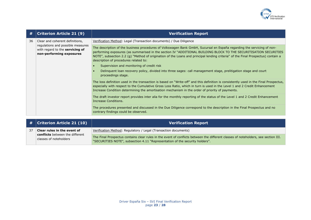

| #  | <b>Criterion Article 21 (9)</b>                                                                                                     | <b>Verification Report</b>                                                                                                                                                                                                                                                                                                                                                                                               |
|----|-------------------------------------------------------------------------------------------------------------------------------------|--------------------------------------------------------------------------------------------------------------------------------------------------------------------------------------------------------------------------------------------------------------------------------------------------------------------------------------------------------------------------------------------------------------------------|
| 36 | Clear and coherent definitions,<br>regulations and possible measures<br>with regard to the servicing of<br>non-performing exposures | Verification Method: Legal (Transaction documents) / Due Diligence                                                                                                                                                                                                                                                                                                                                                       |
|    |                                                                                                                                     | The description of the business procedures of Volkswagen Bank GmbH, Sucursal en España regarding the servicing of non-<br>performing exposures (as summarised in the section IV "ADDITIONAL BUILDING BLOCK TO THE SECURITISATION SECURITIES<br>NOTE", subsection 2.2 (g) "Method of origination of the Loans and principal lending criteria" of the Final Prospectus) contain a<br>description of procedures related to: |
|    |                                                                                                                                     | Supervision and monitoring of credit risk                                                                                                                                                                                                                                                                                                                                                                                |
|    |                                                                                                                                     | Delinguent loan recovery policy, divided into three sages: call management stage, prelitigation stage and court<br>proceedings stage.                                                                                                                                                                                                                                                                                    |
|    |                                                                                                                                     | The loss definition used in the transaction is based on "Write-off" and this definition is consistently used in the Final Prospectus,<br>especially with respect to the Cumulative Gross Loss Ratio, which in turn is used in the Level 1 and 2 Credit Enhancement<br>Increase Condition determining the amortisation mechanism in the order of priority of payments.                                                    |
|    |                                                                                                                                     | The draft investor report provides inter alia for the monthly reporting of the status of the Level 1 and 2 Credit Enhancement<br>Increase Conditions.                                                                                                                                                                                                                                                                    |
|    |                                                                                                                                     | The procedures presented and discussed in the Due Diligence correspond to the description in the Final Prospectus and no<br>contrary findings could be observed.                                                                                                                                                                                                                                                         |

|    | $\,$ # $\,$ Criterion Article 21 (10) $\,$                                               | <b>Verification Report</b>                                                                                                                                                                                         |
|----|------------------------------------------------------------------------------------------|--------------------------------------------------------------------------------------------------------------------------------------------------------------------------------------------------------------------|
| 37 | Clear rules in the event of<br>conflicts between the different<br>classes of noteholders | Verification Method: Regulatory / Legal (Transaction documents)                                                                                                                                                    |
|    |                                                                                          | The Final Prospectus contains clear rules in the event of conflicts between the different classes of noteholders, see section III.<br>"SECURITIES NOTE", subsection 4.11 "Representation of the security holders". |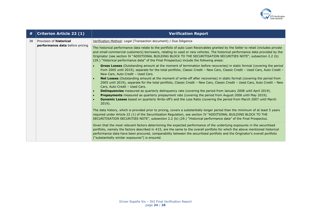

| #  | <b>Criterion Article 22 (1)</b>                                                                          | <b>Verification Report</b>                                                                                                                                                                                                                                                                                                                                                                                                                                                          |
|----|----------------------------------------------------------------------------------------------------------|-------------------------------------------------------------------------------------------------------------------------------------------------------------------------------------------------------------------------------------------------------------------------------------------------------------------------------------------------------------------------------------------------------------------------------------------------------------------------------------|
| 38 | Provision of <b>historical</b><br>performance data before pricing<br>$\bullet$<br>$\bullet$<br>$\bullet$ | Verification Method: Legal (Transaction document) / Due Diligence                                                                                                                                                                                                                                                                                                                                                                                                                   |
|    |                                                                                                          | The historical performance data relate to the portfolio of auto Loan Receivables granted by the Seller to retail (includes private<br>and small-commercial customers) borrowers, relating to used or new vehicles. The historical performance data provided by the<br>Originator (see section IV "ADDITIONAL BUILDING BLOCK TO THE SECURITISATION SECURITIES NOTE", subsection 2.2 (b)<br>(29.) "Historical performance data" of the Final Prospectus) include the following areas: |
|    |                                                                                                          | Gross Losses (Outstanding amount at the moment of termination before recoveries) in static format (covering the period<br>from 2005 until 2019), separate for the total portfolio, Classic Credit - New Cars, Classic Credit - Used Cars, Auto Credit -<br>New Cars, Auto Credit - Used Cars.                                                                                                                                                                                       |
|    |                                                                                                          | Net Losses (Outstanding amount at the moment of write-off after recoveries) in static format (covering the period from<br>2005 until 2019), separate for the total portfolio, Classic Credit - New Cars, Classic Credit - Used Cars, Auto Credit - New<br>Cars, Auto Credit - Used Cars.                                                                                                                                                                                            |
|    |                                                                                                          | <b>Delinquencies</b> measured as quarterly delinquency rate (covering the period from January 2008 until April 2019).<br><b>Prepayments</b> measured as quarterly prepayment rate (covering the period from August 2006 until May 2019).<br>Dynamic Losses based on quarterly Write-off's and the Loss Ratio (covering the period from March 2007 until March<br>$2019$ ).                                                                                                          |
|    |                                                                                                          | The data history, which is provided prior to pricing, covers a substantially longer period than the minimum of at least 5 years<br>required under Article 22 (1) of the Securitisation Regulation, see section IV "ADDITIONAL BUILDING BLOCK TO THE<br>SECURITISATION SECURITIES NOTE", subsection 2.2 (b) (29.) "Historical performance data" of the Final Prospectus.                                                                                                             |
|    |                                                                                                          | Given that the most relevant factors determining the expected performance of the underlying exposures in the securitised<br>portfolio, namely the factors described in #23, are the same to the overall portfolio for which the above mentioned historical<br>performance data have been procured, comparability between the securitised portfolio and the Originator's overall portfolio<br>("substantially similar exposures") is ensured.                                        |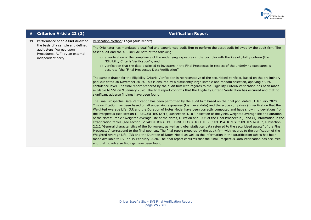

| #  | <b>Criterion Article 22 (2)</b>                                                                                                                                  | <b>Verification Report</b>                                                                                                                                                                                                                                                                                                                                                                                                                                                                                                                                                                                                                                                                                                                                                                                                                                                                                                                                                                                                                                                                                                                                                                                                                                                                                                                                                             |
|----|------------------------------------------------------------------------------------------------------------------------------------------------------------------|----------------------------------------------------------------------------------------------------------------------------------------------------------------------------------------------------------------------------------------------------------------------------------------------------------------------------------------------------------------------------------------------------------------------------------------------------------------------------------------------------------------------------------------------------------------------------------------------------------------------------------------------------------------------------------------------------------------------------------------------------------------------------------------------------------------------------------------------------------------------------------------------------------------------------------------------------------------------------------------------------------------------------------------------------------------------------------------------------------------------------------------------------------------------------------------------------------------------------------------------------------------------------------------------------------------------------------------------------------------------------------------|
| 39 | Performance of an <b>asset audit</b> on<br>the basis of a sample and defined<br>audit steps (Agreed upon<br>Procedures, AuP) by an external<br>independent party | Verification Method: Legal (AuP Report)                                                                                                                                                                                                                                                                                                                                                                                                                                                                                                                                                                                                                                                                                                                                                                                                                                                                                                                                                                                                                                                                                                                                                                                                                                                                                                                                                |
|    |                                                                                                                                                                  | The Originator has mandated a qualified and experienced audit firm to perform the asset audit followed by the audit firm. The<br>asset audit and the AuP include both of the following:<br>a) a verification of the compliance of the underlying exposures in the portfolio with the key eligibility criteria (the<br>"Eligibility Criteria Verification"); and<br>b) verification that the data disclosed to investors in the Final Prospectus in respect of the underlying exposures is<br>accurate (the "Final Prospectus Data Verification").<br>The sample drawn for the Eligibility Criteria Verification is representative of the securitised portfolio, based on the preliminary<br>pool cut dated 30 November 2019. This is ensured by a sufficiently large sample and random selection, applying a 95%<br>confidence level. The final report prepared by the audit firm with regards to the Eligibility Criteria Verification has been made<br>available to SVI on 9 January 2020. The final report confirms that the Eligibility Criteria Verification has occurred and that no<br>significant adverse findings have been found.                                                                                                                                                                                                                                            |
|    |                                                                                                                                                                  | The Final Prospectus Data Verification has been performed by the audit firm based on the final pool dated 31 January 2020.<br>This verification has been based on all underlying exposures (loan level data) and the scope comprises (i) verification that the<br>Weighted Average Life, IRR and the Duration of Notes Model have been correctly computed and have shown no deviations from<br>the Prospectus (see section III SECURITIES NOTE, subsection 4.10 "Indication of the yield, weighted average life and duration<br>of the Notes", table "Weighted Average Life of the Notes, Duration and IRR" of the Final Prospectus), and (ii) information in the<br>stratification tables (see section IV "ADDITIONAL BUILDING BLOCK TO THE SECURITISATION SECURITIES NOTE", subsection<br>2.2.2 "General characteristics of the Borrowers, as well as global statistical data referred to the securitised assets" of the Final<br>Prospectus) correspond to the final pool cut. The final report prepared by the audit firm with regards to the verification of the<br>Weighted Average Life, IRR and the Duration of Notes Model as well as the information in the stratification tables has been<br>made available to SVI on 19 February 2020. The final report confirms that the Final Prospectus Data Verification has occurred<br>and that no adverse findings have been found. |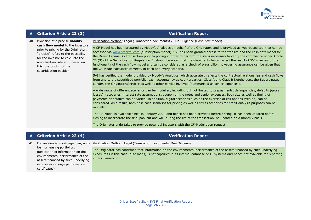

| #  | <b>Criterion Article 22 (3)</b>                                                                                                                                                                                                                                                   | <b>Verification Report</b>                                                                                                                                                                                                                                                                                                                                                                                                                                                                                                                                                                                                                                                                                                           |
|----|-----------------------------------------------------------------------------------------------------------------------------------------------------------------------------------------------------------------------------------------------------------------------------------|--------------------------------------------------------------------------------------------------------------------------------------------------------------------------------------------------------------------------------------------------------------------------------------------------------------------------------------------------------------------------------------------------------------------------------------------------------------------------------------------------------------------------------------------------------------------------------------------------------------------------------------------------------------------------------------------------------------------------------------|
| 40 | Provision of a precise liability<br>cash flow model to the investors<br>prior to pricing by the Originator;<br>"precise" refers to the possibility<br>for the investor to calculate the<br>amortisation rate and, based on<br>this, the pricing of the<br>securitisation position | Verification Method: Legal (Transaction documents) / Due Diligence (Cash flow model)                                                                                                                                                                                                                                                                                                                                                                                                                                                                                                                                                                                                                                                 |
|    |                                                                                                                                                                                                                                                                                   | A CF-Model has been prepared by Moody's Analytics on behalf of the Originator, and is provided as web-based tool that can be<br>accessed via www.sfportal.com (subscription model). SVI has been granted access to the website and the cash flow model for<br>the Driver España Six transaction prior to pricing in order to perform the steps necessary to verify the compliance under Article<br>22 (3) of the Securitisation Regulation. It should be noted that the statements below reflect the result of SVI's review of the<br>functionality of the cash flow model and can be considered as a check of plausibility, however no assurance can be given that<br>the CF-Model calculates correctly in each and every scenario. |
|    |                                                                                                                                                                                                                                                                                   | SVI has verified the model provided by Moody's Analytics, which accurately reflects the contractual relationships and cash flows<br>from and to the securitised portfolio, cash accounts, swap counterparties, Class A and Class B Noteholders, the Subordinated<br>Lender, the Originator/Servicer as well as other parties involved (summarised as senior expenses).                                                                                                                                                                                                                                                                                                                                                               |
|    |                                                                                                                                                                                                                                                                                   | A wide range of different scenarios can be modelled, including but not limited to prepayments, delinquencies, defaults (gross<br>losses), recoveries, interest rate assumptions, coupon on the notes and senior expenses. Both size as well as timing of<br>payments or defaults can be varied. In addition, digital scenarios such as the exercise of call options (yes/no) can be<br>considered. As a result, both base case scenarios for pricing as well as stress scenarios for credit analysis purposes can be<br>modelled.                                                                                                                                                                                                    |
|    |                                                                                                                                                                                                                                                                                   | The CF-Model is available since 10 January 2020 and hence has been provided before pricing. It has been updated before<br>closing to incorporate the final pool cut and will, during the life of the transaction, be updated on a monthly basis.                                                                                                                                                                                                                                                                                                                                                                                                                                                                                     |
|    |                                                                                                                                                                                                                                                                                   | The Originator undertakes to provide potential investors with the CF-Model upon request.                                                                                                                                                                                                                                                                                                                                                                                                                                                                                                                                                                                                                                             |

| #  | <b>Criterion Article 22 (4)</b>                                                                                                                                                              | <b>Verification Report</b>                                                                                                                                                                                                                                                            |
|----|----------------------------------------------------------------------------------------------------------------------------------------------------------------------------------------------|---------------------------------------------------------------------------------------------------------------------------------------------------------------------------------------------------------------------------------------------------------------------------------------|
| 41 | For residential mortgage loan, auto                                                                                                                                                          | Verification Method: Legal (Transaction documents, Due Diligence)                                                                                                                                                                                                                     |
|    | loan or leasing portfolios:<br>publication of information on the<br>environmental performance of the<br>assets financed by such underlying<br>exposures (energy performance<br>certificates) | The Originator has confirmed that information on the environmental performance of the assets financed by such underlying<br>exposures (in this case: auto loans) is not captured in its internal database or IT systems and hence not available for reporting<br>in this Transaction. |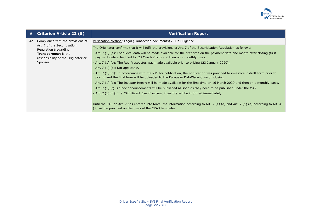

| #  | <b>Criterion Article 22 (5)</b>                                                                                                                                      | <b>Verification Report</b>                                                                                                                                                                                                |
|----|----------------------------------------------------------------------------------------------------------------------------------------------------------------------|---------------------------------------------------------------------------------------------------------------------------------------------------------------------------------------------------------------------------|
| 42 | Compliance with the provisions of<br>Art. 7 of the Securitisation<br>Regulation (regarding<br>Transparency) is the<br>responsibility of the Originator or<br>Sponsor | Verification Method: Legal (Transaction documents) / Due Diligence                                                                                                                                                        |
|    |                                                                                                                                                                      | The Originator confirms that it will fulfil the provisions of Art. 7 of the Securitisation Regulation as follows:                                                                                                         |
|    |                                                                                                                                                                      | - Art. 7 (1) (a): Loan level data will be made available for the first time on the payment date one month after closing (first<br>payment date scheduled for 23 March 2020) and then on a monthly basis.                  |
|    |                                                                                                                                                                      | - Art. 7 (1) (b): The Red Prospectus was made available prior to pricing (23 January 2020).                                                                                                                               |
|    |                                                                                                                                                                      | - Art. $7(1)(c)$ : Not applicable.                                                                                                                                                                                        |
|    |                                                                                                                                                                      | - Art. 7 (1) (d): In accordance with the RTS for notification, the notification was provided to investors in draft form prior to<br>pricing and the final form will be uploaded to the European DataWarehouse on closing. |
|    |                                                                                                                                                                      | - Art. 7 (1) (e): The Investor Report will be made available for the first time on 16 March 2020 and then on a monthly basis.                                                                                             |
|    |                                                                                                                                                                      | - Art. 7 (1) (f): Ad hoc announcements will be published as soon as they need to be published under the MAR.                                                                                                              |
|    |                                                                                                                                                                      | - Art. 7 (1) (g): If a "Significant Event" occurs, investors will be informed immediately.                                                                                                                                |
|    |                                                                                                                                                                      | Until the RTS on Art. 7 has entered into force, the information according to Art. 7 (1) (a) and Art. 7 (1) (e) according to Art. 43<br>(7) will be provided on the basis of the CRA3 templates.                           |